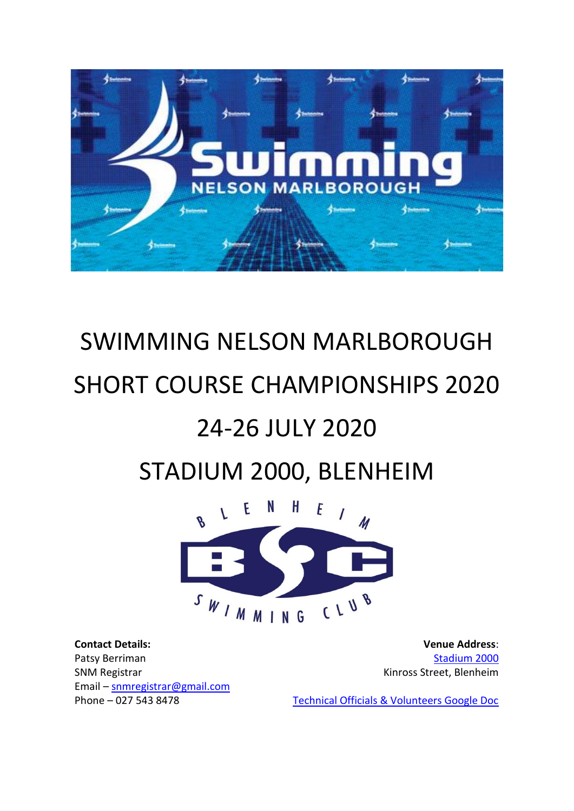

# SWIMMING NELSON MARLBOROUGH SHORT COURSE CHAMPIONSHIPS 2020

# 24-26 JULY 2020

# STADIUM 2000, BLENHEIM



**Contact Details:** Patsy Berriman SNM Registrar Email – [snmregistrar@gmail.com](mailto:snmregistrar@gmail.com)  Phone – 027 543 8478

**Venue Address**: [Stadium 2000](http://www.stadium2000.co.nz/) Kinross Street, Blenheim

[Technical Officials & Volunteers Google Doc](https://forms.gle/AHyPUtZam5gU3upZ9)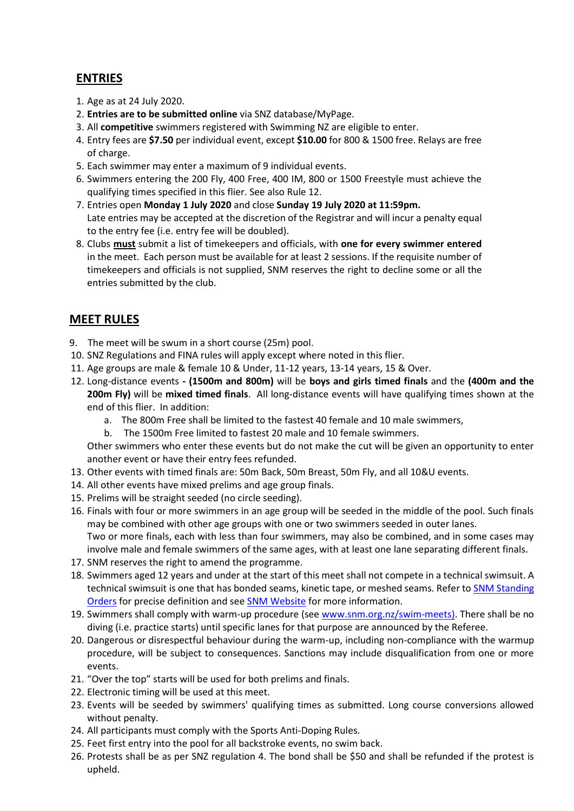## **ENTRIES**

- 1. Age as at 24 July 2020.
- 2. **Entries are to be submitted online** via SNZ database/MyPage.
- 3. All **competitive** swimmers registered with Swimming NZ are eligible to enter.
- 4. Entry fees are **\$7.50** per individual event, except **\$10.00** for 800 & 1500 free. Relays are free of charge.
- 5. Each swimmer may enter a maximum of 9 individual events.
- 6. Swimmers entering the 200 Fly, 400 Free, 400 IM, 800 or 1500 Freestyle must achieve the qualifying times specified in this flier. See also Rule 12.
- 7. Entries open **Monday 1 July 2020** and close **Sunday 19 July 2020 at 11:59pm.**  Late entries may be accepted at the discretion of the Registrar and will incur a penalty equal to the entry fee (i.e. entry fee will be doubled).
- 8. Clubs **must** submit a list of timekeepers and officials, with **one for every swimmer entered** in the meet. Each person must be available for at least 2 sessions. If the requisite number of timekeepers and officials is not supplied, SNM reserves the right to decline some or all the entries submitted by the club.

# **MEET RULES**

- 9. The meet will be swum in a short course (25m) pool.
- 10. SNZ Regulations and FINA rules will apply except where noted in this flier.
- 11. Age groups are male & female 10 & Under, 11-12 years, 13-14 years, 15 & Over.
- 12. Long-distance events **- (1500m and 800m)** will be **boys and girls timed finals** and the **(400m and the 200m Fly)** will be **mixed timed finals**. All long-distance events will have qualifying times shown at the end of this flier. In addition:
	- a. The 800m Free shall be limited to the fastest 40 female and 10 male swimmers,
	- b. The 1500m Free limited to fastest 20 male and 10 female swimmers.

Other swimmers who enter these events but do not make the cut will be given an opportunity to enter another event or have their entry fees refunded.

- 13. Other events with timed finals are: 50m Back, 50m Breast, 50m Fly, and all 10&U events.
- 14. All other events have mixed prelims and age group finals.
- 15. Prelims will be straight seeded (no circle seeding).
- 16. Finals with four or more swimmers in an age group will be seeded in the middle of the pool. Such finals may be combined with other age groups with one or two swimmers seeded in outer lanes. Two or more finals, each with less than four swimmers, may also be combined, and in some cases may involve male and female swimmers of the same ages, with at least one lane separating different finals.
- 17. SNM reserves the right to amend the programme.
- 18. Swimmers aged 12 years and under at the start of this meet shall not compete in a technical swimsuit. A technical swimsuit is one that has bonded seams, kinetic tape, or meshed seams. Refer to SNM Standing [Orders](https://www.snm.org.nz/files/SNM_Standing_Orders_as_of_14_Apr_2019.pdf) for precise definition and see [SNM Website](https://www.snm.org.nz/) for more information.
- 19. Swimmers shall comply with warm-up procedure (see [www.snm.org.nz/swim-meets\)](http://www.snm.org.nz/swim-meets). There shall be no diving (i.e. practice starts) until specific lanes for that purpose are announced by the Referee.
- 20. Dangerous or disrespectful behaviour during the warm-up, including non-compliance with the warmup procedure, will be subject to consequences. Sanctions may include disqualification from one or more events.
- 21. "Over the top" starts will be used for both prelims and finals.
- 22. Electronic timing will be used at this meet.
- 23. Events will be seeded by swimmers' qualifying times as submitted. Long course conversions allowed without penalty.
- 24. All participants must comply with the Sports Anti-Doping Rules.
- 25. Feet first entry into the pool for all backstroke events, no swim back.
- 26. Protests shall be as per SNZ regulation 4. The bond shall be \$50 and shall be refunded if the protest is upheld.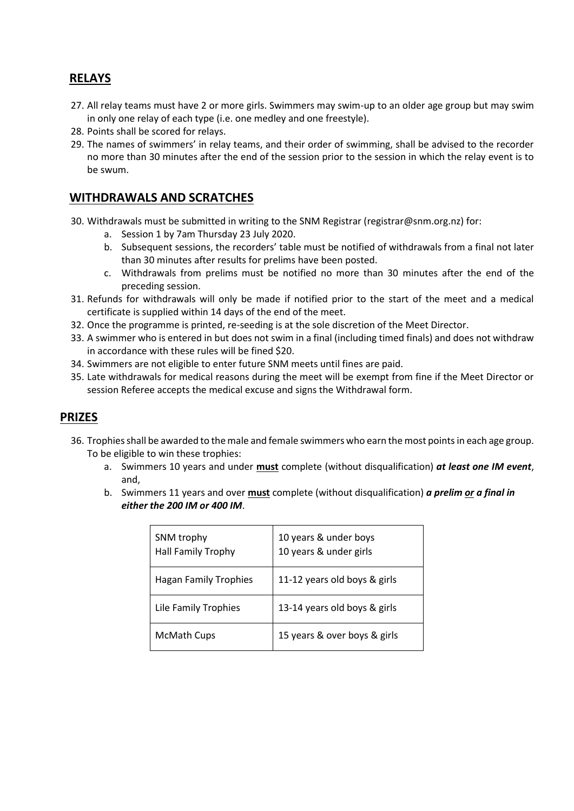## **RELAYS**

- 27. All relay teams must have 2 or more girls. Swimmers may swim-up to an older age group but may swim in only one relay of each type (i.e. one medley and one freestyle).
- 28. Points shall be scored for relays.
- 29. The names of swimmers' in relay teams, and their order of swimming, shall be advised to the recorder no more than 30 minutes after the end of the session prior to the session in which the relay event is to be swum.

### **WITHDRAWALS AND SCRATCHES**

- 30. Withdrawals must be submitted in writing to the SNM Registrar [\(registrar@snm.org.nz\)](mailto:registrar@snm.org.nz) for:
	- a. Session 1 by 7am Thursday 23 July 2020.
	- b. Subsequent sessions, the recorders' table must be notified of withdrawals from a final not later than 30 minutes after results for prelims have been posted.
	- c. Withdrawals from prelims must be notified no more than 30 minutes after the end of the preceding session.
- 31. Refunds for withdrawals will only be made if notified prior to the start of the meet and a medical certificate is supplied within 14 days of the end of the meet.
- 32. Once the programme is printed, re-seeding is at the sole discretion of the Meet Director.
- 33. A swimmer who is entered in but does not swim in a final (including timed finals) and does not withdraw in accordance with these rules will be fined \$20.
- 34. Swimmers are not eligible to enter future SNM meets until fines are paid.
- 35. Late withdrawals for medical reasons during the meet will be exempt from fine if the Meet Director or session Referee accepts the medical excuse and signs the Withdrawal form.

#### **PRIZES**

- 36. Trophies shall be awarded to the male and female swimmers who earn the most points in each age group. To be eligible to win these trophies:
	- a. Swimmers 10 years and under **must** complete (without disqualification) *at least one IM event*, and,
	- b. Swimmers 11 years and over **must** complete (without disqualification) *a prelim or a final in either the 200 IM or 400 IM*.

| SNM trophy<br><b>Hall Family Trophy</b> | 10 years & under boys<br>10 years & under girls |
|-----------------------------------------|-------------------------------------------------|
| <b>Hagan Family Trophies</b>            | 11-12 years old boys & girls                    |
| Lile Family Trophies                    | 13-14 years old boys & girls                    |
| <b>McMath Cups</b>                      | 15 years & over boys & girls                    |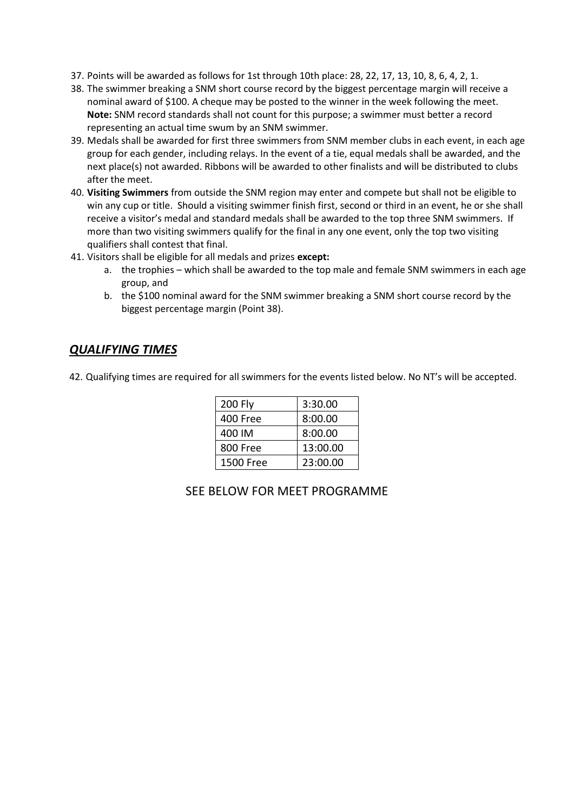- 37. Points will be awarded as follows for 1st through 10th place: 28, 22, 17, 13, 10, 8, 6, 4, 2, 1.
- 38. The swimmer breaking a SNM short course record by the biggest percentage margin will receive a nominal award of \$100. A cheque may be posted to the winner in the week following the meet. **Note:** SNM record standards shall not count for this purpose; a swimmer must better a record representing an actual time swum by an SNM swimmer.
- 39. Medals shall be awarded for first three swimmers from SNM member clubs in each event, in each age group for each gender, including relays. In the event of a tie, equal medals shall be awarded, and the next place(s) not awarded. Ribbons will be awarded to other finalists and will be distributed to clubs after the meet.
- 40. **Visiting Swimmers** from outside the SNM region may enter and compete but shall not be eligible to win any cup or title. Should a visiting swimmer finish first, second or third in an event, he or she shall receive a visitor's medal and standard medals shall be awarded to the top three SNM swimmers. If more than two visiting swimmers qualify for the final in any one event, only the top two visiting qualifiers shall contest that final.
- 41. Visitors shall be eligible for all medals and prizes **except:**
	- a. the trophies which shall be awarded to the top male and female SNM swimmers in each age group, and
	- b. the \$100 nominal award for the SNM swimmer breaking a SNM short course record by the biggest percentage margin (Point 38).

#### *QUALIFYING TIMES*

42. Qualifying times are required for all swimmers for the events listed below. No NT's will be accepted.

| 200 Fly          | 3:30.00  |
|------------------|----------|
| 400 Free         | 8:00.00  |
| 400 IM           | 8:00.00  |
| 800 Free         | 13:00.00 |
| <b>1500 Free</b> | 23:00.00 |

#### SEE BELOW FOR MEET PROGRAMME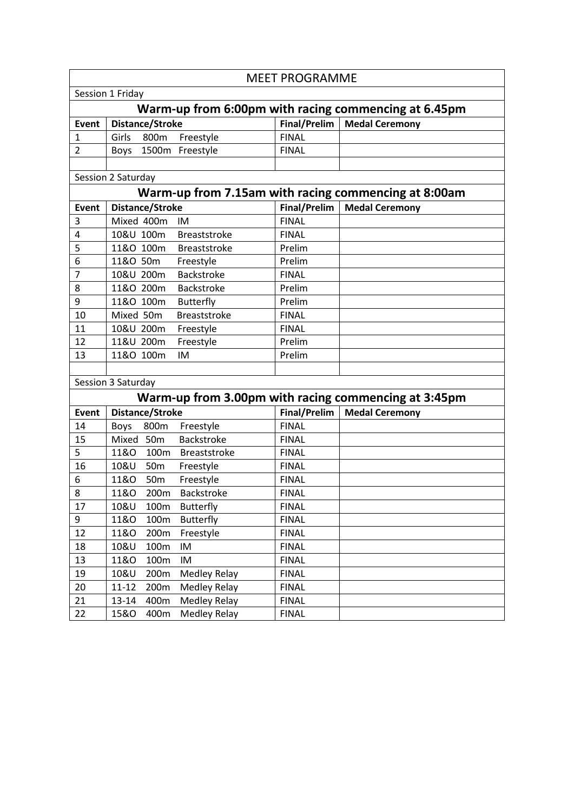|                                                      |                                                      | <b>MEET PROGRAMME</b> |                       |  |  |
|------------------------------------------------------|------------------------------------------------------|-----------------------|-----------------------|--|--|
|                                                      | Session 1 Friday                                     |                       |                       |  |  |
| Warm-up from 6:00pm with racing commencing at 6.45pm |                                                      |                       |                       |  |  |
| <b>Event</b>                                         | Distance/Stroke                                      | Final/Prelim          | <b>Medal Ceremony</b> |  |  |
| $\mathbf{1}$                                         | Freestyle<br>Girls<br>800m                           | <b>FINAL</b>          |                       |  |  |
| $\overline{2}$                                       | 1500m Freestyle<br><b>Boys</b>                       | <b>FINAL</b>          |                       |  |  |
|                                                      |                                                      |                       |                       |  |  |
| Session 2 Saturday                                   |                                                      |                       |                       |  |  |
| Warm-up from 7.15am with racing commencing at 8:00am |                                                      |                       |                       |  |  |
| <b>Event</b>                                         | Distance/Stroke                                      | Final/Prelim          | <b>Medal Ceremony</b> |  |  |
| 3                                                    | Mixed 400m<br>IM                                     | <b>FINAL</b>          |                       |  |  |
| 4                                                    | 10&U 100m<br><b>Breaststroke</b>                     | <b>FINAL</b>          |                       |  |  |
| 5                                                    | 11&O 100m<br><b>Breaststroke</b>                     | Prelim                |                       |  |  |
| 6                                                    | 11&O 50m<br>Freestyle                                | Prelim                |                       |  |  |
| 7                                                    | 10&U 200m<br><b>Backstroke</b>                       | <b>FINAL</b>          |                       |  |  |
| 8                                                    | 11&O 200m<br>Backstroke                              | Prelim                |                       |  |  |
| 9                                                    | 11&O 100m<br><b>Butterfly</b>                        | Prelim                |                       |  |  |
| 10                                                   | Mixed 50m<br><b>Breaststroke</b>                     | <b>FINAL</b>          |                       |  |  |
| 11                                                   | 10&U 200m<br>Freestyle                               | <b>FINAL</b>          |                       |  |  |
| 12                                                   | 11&U 200m<br>Freestyle                               | Prelim                |                       |  |  |
| 13                                                   | 11&O 100m<br>IM                                      | Prelim                |                       |  |  |
|                                                      |                                                      |                       |                       |  |  |
|                                                      | Session 3 Saturday                                   |                       |                       |  |  |
|                                                      | Warm-up from 3.00pm with racing commencing at 3:45pm |                       |                       |  |  |
| <b>Event</b>                                         | Distance/Stroke                                      | Final/Prelim          | <b>Medal Ceremony</b> |  |  |
| 14                                                   | 800m<br><b>Boys</b><br>Freestyle                     | <b>FINAL</b>          |                       |  |  |
| 15                                                   | Mixed 50m<br><b>Backstroke</b>                       | <b>FINAL</b>          |                       |  |  |
| 5                                                    | 11&0<br>Breaststroke<br>100m                         | <b>FINAL</b>          |                       |  |  |
| 16                                                   | 10&U<br>50 <sub>m</sub><br>Freestyle                 | <b>FINAL</b>          |                       |  |  |
| 6                                                    | 11&0<br>Freestyle<br>50 <sub>m</sub>                 | <b>FINAL</b>          |                       |  |  |
| 8                                                    | <b>Backstroke</b><br>11&0<br>200m                    | <b>FINAL</b>          |                       |  |  |
| 17                                                   | 10&U<br>100m<br><b>Butterfly</b>                     | <b>FINAL</b>          |                       |  |  |
| 9                                                    | 11&0<br>100m<br><b>Butterfly</b>                     | <b>FINAL</b>          |                       |  |  |
| 12                                                   | 11&0<br>200m<br>Freestyle                            | <b>FINAL</b>          |                       |  |  |
| 18                                                   | 10&U<br>100m<br>IM                                   | <b>FINAL</b>          |                       |  |  |
| 13                                                   | <b>11&amp;O</b><br>100m<br>IM                        | <b>FINAL</b>          |                       |  |  |
| 19                                                   | 10&U<br><b>Medley Relay</b><br>200m                  | <b>FINAL</b>          |                       |  |  |
| 20                                                   | $11 - 12$<br>200m<br>Medley Relay                    | <b>FINAL</b>          |                       |  |  |
| 21                                                   | 13-14<br>400m<br>Medley Relay                        | <b>FINAL</b>          |                       |  |  |
| 22                                                   | <b>Medley Relay</b><br><b>15&amp;O</b><br>400m       | <b>FINAL</b>          |                       |  |  |